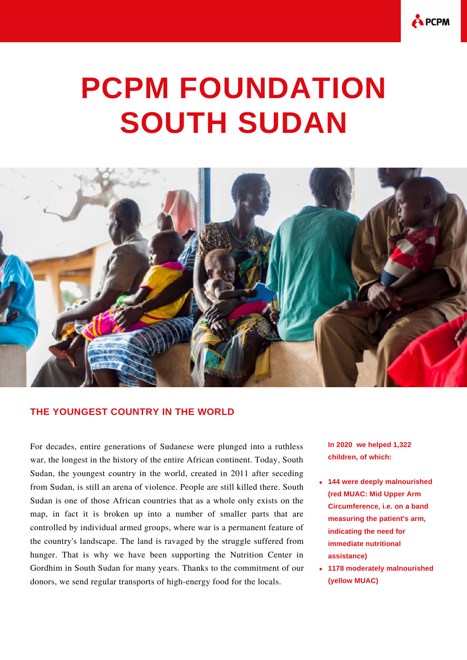

## **PCPM FOUNDATION SOUTH SUDAN**



## **THE YOUNGEST COUNTRY IN THE WORLD**

For decades, entire generations of Sudanese were plunged into a ruthless war, the longest in the history of the entire African continent. Today, South Sudan, the youngest country in the world, created in 2011 after seceding from Sudan, is still an arena of violence. People are still killed there. South Sudan is one of those African countries that as a whole only exists on the map, in fact it is broken up into a number of smaller parts that are controlled by individual armed groups, where war is a permanent feature of the country's landscape. The land is ravaged by the struggle suffered from hunger. That is why we have been supporting the Nutrition Center in Gordhim in South Sudan for many years. Thanks to the commitment of our donors, we send regular transports of high-energy food for the locals.

**In 2020 we helped 1,322 children, of which:**

- **144 were deeply malnourished (red MUAC: Mid Upper Arm Circumference, i.e. on a band measuring the patient's arm, indicating the need for immediate nutritional assistance)**
- **1178 moderately malnourished (yellow MUAC)**